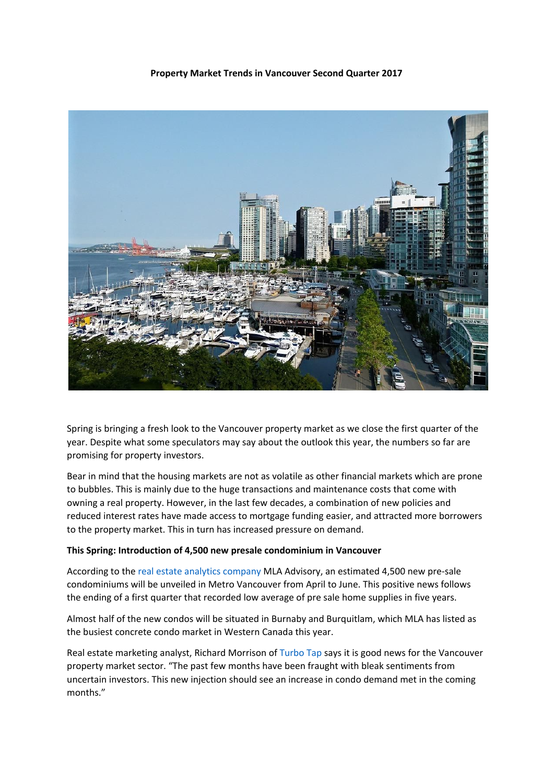## **Property Market Trends in Vancouver Second Quarter 2017**



Spring is bringing a fresh look to the Vancouver property market as we close the first quarter of the year. Despite what some speculators may say about the outlook this year, the numbers so far are promising for property investors.

Bear in mind that the housing markets are not as volatile as other financial markets which are prone to bubbles. This is mainly due to the huge transactions and maintenance costs that come with owning a real property. However, in the last few decades, a combination of new policies and reduced interest rates have made access to mortgage funding easier, and attracted more borrowers to the property market. This in turn has increased pressure on demand.

## **This Spring: Introduction of 4,500 new presale condominium in Vancouver**

According to the real estate analytics [company](http://mlacanada.com/) MLA Advisory, an estimated 4,500 new pre-sale condominiums will be unveiled in Metro Vancouver from April to June. This positive news follows the ending of a first quarter that recorded low average of pre sale home supplies in five years.

Almost half of the new condos will be situated in Burnaby and Burquitlam, which MLA has listed as the busiest concrete condo market in Western Canada this year.

Real estate marketing analyst, Richard Morrison of [Turbo](http://www.turbotap.org/) Tap says it is good news for the Vancouver property market sector. "The past few months have been fraught with bleak sentiments from uncertain investors. This new injection should see an increase in condo demand met in the coming months."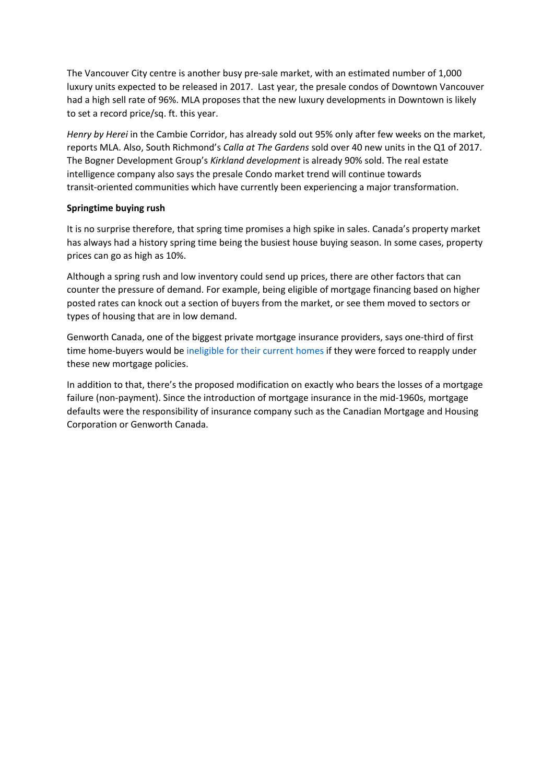The Vancouver City centre is another busy pre-sale market, with an estimated number of 1,000 luxury units expected to be released in 2017. Last year, the presale condos of Downtown Vancouver had a high sell rate of 96%. MLA proposes that the new luxury developments in Downtown is likely to set a record price/sq. ft. this year.

*Henry by Herei* in the Cambie Corridor, has already sold out 95% only after few weeks on the market, reports MLA. Also, South Richmond's *Calla at The Gardens* sold over 40 new units in the Q1 of 2017. The Bogner Development Group's *Kirkland development* is already 90% sold. The real estate intelligence company also says the presale Condo market trend will continue towards transit-oriented communities which have currently been experiencing a major transformation.

## **Springtime buying rush**

It is no surprise therefore, that spring time promises a high spike in sales. Canada's property market has always had a history spring time being the busiest house buying season. In some cases, property prices can go as high as 10%.

Although a spring rush and low inventory could send up prices, there are other factors that can counter the pressure of demand. For example, being eligible of mortgage financing based on higher posted rates can knock out a section of buyers from the market, or see them moved to sectors or types of housing that are in low demand.

Genworth Canada, one of the biggest private mortgage insurance providers, says one-third of first time home-buyers would be [ineligible](https://www.pressreader.com/canada/national-post-latest-edition/20161005/281509340687328) for their current homes if they were forced to reapply under these new mortgage policies.

In addition to that, there's the proposed modification on exactly who bears the losses of a mortgage failure (non-payment). Since the introduction of mortgage insurance in the mid-1960s, mortgage defaults were the responsibility of insurance company such as the Canadian Mortgage and Housing Corporation or Genworth Canada.